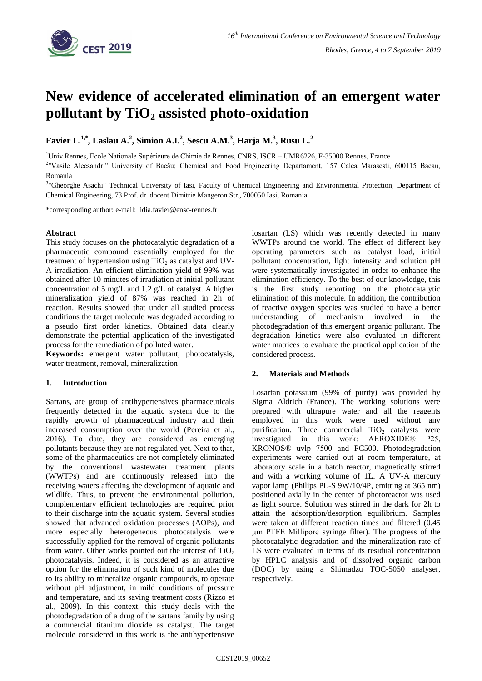

# **New evidence of accelerated elimination of an emergent water pollutant by TiO<sup>2</sup> assisted photo-oxidation**

**Favier L.1,\*, Laslau A.<sup>2</sup> , Simion A.I.<sup>2</sup> , Sescu A.M.<sup>3</sup> , Harja M.<sup>3</sup> , Rusu L.<sup>2</sup>**

<sup>1</sup>Univ Rennes, Ecole Nationale Supérieure de Chimie de Rennes, CNRS, ISCR – UMR6226, F-35000 Rennes, France

2 "Vasile Alecsandri" University of Bacău; Chemical and Food Engineering Departament, 157 Calea Marasesti, 600115 Bacau, Romania

<sup>3</sup>"Gheorghe Asachi" Technical University of Iasi, Faculty of Chemical Engineering and Environmental Protection, Department of Chemical Engineering, 73 Prof. dr. docent Dimitrie Mangeron Str., 700050 Iasi, Romania

\*corresponding author: e-mail: lidia.favier@ensc-rennes.fr

## **Abstract**

This study focuses on the photocatalytic degradation of a pharmaceutic compound essentially employed for the treatment of hypertension using  $TiO<sub>2</sub>$  as catalyst and UV-A irradiation. An efficient elimination yield of 99% was obtained after 10 minutes of irradiation at initial pollutant concentration of 5 mg/L and 1.2 g/L of catalyst. A higher mineralization yield of 87% was reached in 2h of reaction. Results showed that under all studied process conditions the target molecule was degraded according to a pseudo first order kinetics. Obtained data clearly demonstrate the potential application of the investigated process for the remediation of polluted water.

**Keywords:** emergent water pollutant, photocatalysis, water treatment, removal, mineralization

## **1. Introduction**

Sartans, are group of antihypertensives pharmaceuticals frequently detected in the aquatic system due to the rapidly growth of pharmaceutical industry and their increased consumption over the world (Pereira et al., 2016). To date, they are considered as emerging pollutants because they are not regulated yet. Next to that, some of the pharmaceutics are not completely eliminated by the conventional wastewater treatment plants (WWTPs) and are continuously released into the receiving waters affecting the development of aquatic and wildlife. Thus, to prevent the environmental pollution, complementary efficient technologies are required prior to their discharge into the aquatic system. Several studies showed that advanced oxidation processes (AOPs), and more especially heterogeneous photocatalysis were successfully applied for the removal of organic pollutants from water. Other works pointed out the interest of  $TiO<sub>2</sub>$ photocatalysis. Indeed, it is considered as an attractive option for the elimination of such kind of molecules due to its ability to mineralize organic compounds, to operate without pH adjustment, in mild conditions of pressure and temperature, and its saving treatment costs (Rizzo et al., 2009). In this context, this study deals with the photodegradation of a drug of the sartans family by using a commercial titanium dioxide as catalyst. The target molecule considered in this work is the antihypertensive

losartan (LS) which was recently detected in many WWTPs around the world. The effect of different key operating parameters such as catalyst load, initial pollutant concentration, light intensity and solution pH were systematically investigated in order to enhance the elimination efficiency. To the best of our knowledge, this is the first study reporting on the photocatalytic elimination of this molecule. In addition, the contribution of reactive oxygen species was studied to have a better understanding of mechanism involved in the photodegradation of this emergent organic pollutant. The degradation kinetics were also evaluated in different water matrices to evaluate the practical application of the considered process.

## **2. Materials and Methods**

Losartan potassium (99% of purity) was provided by Sigma Aldrich (France). The working solutions were prepared with ultrapure water and all the reagents employed in this work were used without any purification. Three commercial  $TiO<sub>2</sub>$  catalysts were<br>investigated in this work: AEROXIDE® P25. investigated in this work: KRONOS® uvlp 7500 and PC500. Photodegradation experiments were carried out at room temperature, at laboratory scale in a batch reactor, magnetically stirred and with a working volume of 1L. A UV-A mercury vapor lamp (Philips PL-S 9W/10/4P, emitting at 365 nm) positioned axially in the center of photoreactor was used as light source. Solution was stirred in the dark for 2h to attain the adsorption/desorption equilibrium. Samples were taken at different reaction times and filtered (0.45 μm PTFE Millipore syringe filter). The progress of the photocatalytic degradation and the mineralization rate of LS were evaluated in terms of its residual concentration by HPLC analysis and of dissolved organic carbon (DOC) by using a Shimadzu TOC-5050 analyser, respectively.